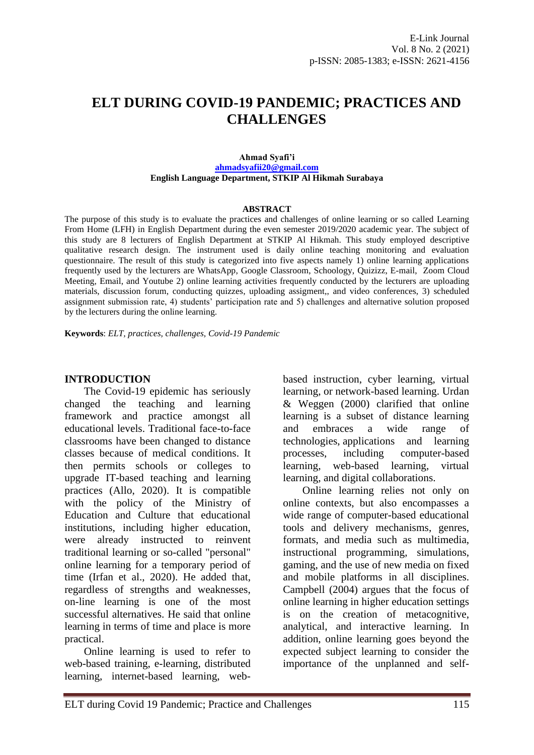# **ELT DURING COVID-19 PANDEMIC; PRACTICES AND CHALLENGES**

#### **Ahmad Syafi'i [ahmadsyafii20@gmail.com](mailto:ahmadsyafii20@gmail.com) English Language Department, STKIP Al Hikmah Surabaya**

#### **ABSTRACT**

The purpose of this study is to evaluate the practices and challenges of online learning or so called Learning From Home (LFH) in English Department during the even semester 2019/2020 academic year. The subject of this study are 8 lecturers of English Department at STKIP Al Hikmah. This study employed descriptive qualitative research design. The instrument used is daily online teaching monitoring and evaluation questionnaire. The result of this study is categorized into five aspects namely 1) online learning applications frequently used by the lecturers are WhatsApp, Google Classroom, Schoology, Quizizz, E-mail, Zoom Cloud Meeting, Email, and Youtube 2) online learning activities frequently conducted by the lecturers are uploading materials, discussion forum, conducting quizzes, uploading assigment,, and video conferences, 3) scheduled assignment submission rate, 4) students' participation rate and 5) challenges and alternative solution proposed by the lecturers during the online learning.

**Keywords**: *ELT, practices, challenges, Covid-19 Pandemic*

#### **INTRODUCTION**

The Covid-19 epidemic has seriously changed the teaching and learning framework and practice amongst all educational levels. Traditional face-to-face classrooms have been changed to distance classes because of medical conditions. It then permits schools or colleges to upgrade IT-based teaching and learning practices (Allo, 2020). It is compatible with the policy of the Ministry of Education and Culture that educational institutions, including higher education, were already instructed to reinvent traditional learning or so-called "personal" online learning for a temporary period of time (Irfan et al., 2020). He added that, regardless of strengths and weaknesses, on-line learning is one of the most successful alternatives. He said that online learning in terms of time and place is more practical.

Online learning is used to refer to web-based training, e-learning, distributed learning, internet-based learning, webbased instruction, cyber learning, virtual learning, or network-based learning. Urdan & Weggen (2000) clarified that online learning is a subset of distance learning and embraces a wide range of technologies, applications and learning processes, including computer-based learning, web-based learning, virtual learning, and digital collaborations.

Online learning relies not only on online contexts, but also encompasses a wide range of computer-based educational tools and delivery mechanisms, genres, formats, and media such as multimedia, instructional programming, simulations, gaming, and the use of new media on fixed and mobile platforms in all disciplines. Campbell (2004) argues that the focus of online learning in higher education settings is on the creation of metacognitive, analytical, and interactive learning. In addition, online learning goes beyond the expected subject learning to consider the importance of the unplanned and self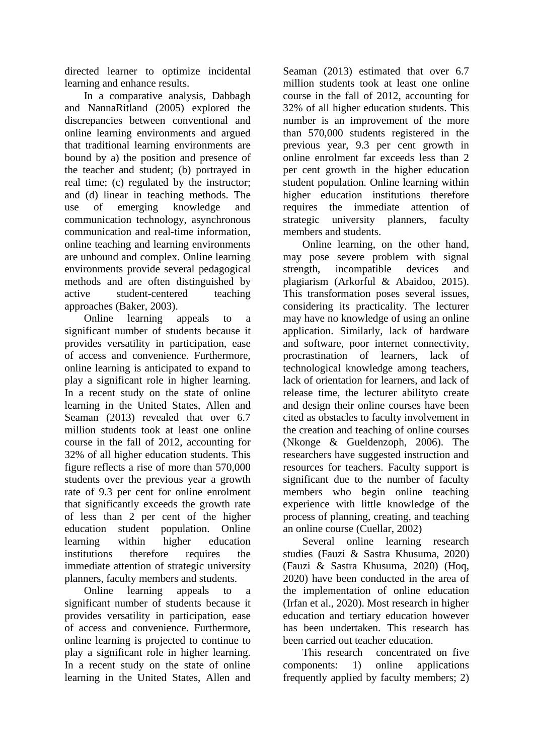directed learner to optimize incidental learning and enhance results.

In a comparative analysis, Dabbagh and NannaRitland (2005) explored the discrepancies between conventional and online learning environments and argued that traditional learning environments are bound by a) the position and presence of the teacher and student; (b) portrayed in real time; (c) regulated by the instructor; and (d) linear in teaching methods. The use of emerging knowledge and communication technology, asynchronous communication and real-time information, online teaching and learning environments are unbound and complex. Online learning environments provide several pedagogical methods and are often distinguished by active student-centered teaching approaches (Baker, 2003).

Online learning appeals to a significant number of students because it provides versatility in participation, ease of access and convenience. Furthermore, online learning is anticipated to expand to play a significant role in higher learning. In a recent study on the state of online learning in the United States, Allen and Seaman (2013) revealed that over 6.7 million students took at least one online course in the fall of 2012, accounting for 32% of all higher education students. This figure reflects a rise of more than 570,000 students over the previous year a growth rate of 9.3 per cent for online enrolment that significantly exceeds the growth rate of less than 2 per cent of the higher education student population. Online learning within higher education institutions therefore requires the immediate attention of strategic university planners, faculty members and students.

Online learning appeals to a significant number of students because it provides versatility in participation, ease of access and convenience. Furthermore, online learning is projected to continue to play a significant role in higher learning. In a recent study on the state of online learning in the United States, Allen and

Seaman (2013) estimated that over 6.7 million students took at least one online course in the fall of 2012, accounting for 32% of all higher education students. This number is an improvement of the more than 570,000 students registered in the previous year, 9.3 per cent growth in online enrolment far exceeds less than 2 per cent growth in the higher education student population. Online learning within higher education institutions therefore requires the immediate attention of strategic university planners, faculty members and students.

Online learning, on the other hand, may pose severe problem with signal strength, incompatible devices and plagiarism (Arkorful & Abaidoo, 2015). This transformation poses several issues, considering its practicality. The lecturer may have no knowledge of using an online application. Similarly, lack of hardware and software, poor internet connectivity, procrastination of learners, lack of technological knowledge among teachers, lack of orientation for learners, and lack of release time, the lecturer abilityto create and design their online courses have been cited as obstacles to faculty involvement in the creation and teaching of online courses (Nkonge & Gueldenzoph, 2006). The researchers have suggested instruction and resources for teachers. Faculty support is significant due to the number of faculty members who begin online teaching experience with little knowledge of the process of planning, creating, and teaching an online course (Cuellar, 2002)

Several online learning research studies (Fauzi & Sastra Khusuma, 2020) (Fauzi & Sastra Khusuma, 2020) (Hoq, 2020) have been conducted in the area of the implementation of online education (Irfan et al., 2020). Most research in higher education and tertiary education however has been undertaken. This research has been carried out teacher education.

This research concentrated on five components: 1) online applications frequently applied by faculty members; 2)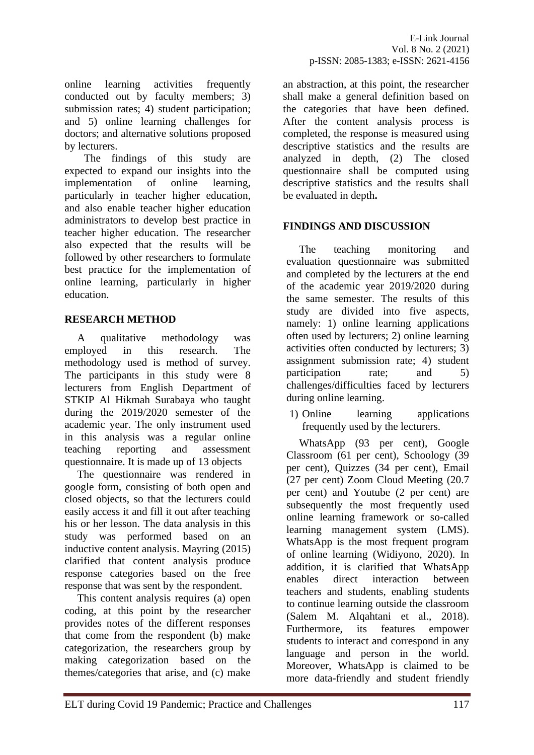online learning activities frequently conducted out by faculty members; 3) submission rates; 4) student participation; and 5) online learning challenges for doctors; and alternative solutions proposed by lecturers.

The findings of this study are expected to expand our insights into the implementation of online learning, particularly in teacher higher education, and also enable teacher higher education administrators to develop best practice in teacher higher education. The researcher also expected that the results will be followed by other researchers to formulate best practice for the implementation of online learning, particularly in higher education.

# **RESEARCH METHOD**

A qualitative methodology was employed in this research. The methodology used is method of survey. The participants in this study were 8 lecturers from English Department of STKIP Al Hikmah Surabaya who taught during the 2019/2020 semester of the academic year. The only instrument used in this analysis was a regular online teaching reporting and assessment questionnaire. It is made up of 13 objects

The questionnaire was rendered in google form, consisting of both open and closed objects, so that the lecturers could easily access it and fill it out after teaching his or her lesson. The data analysis in this study was performed based on an inductive content analysis. Mayring (2015) clarified that content analysis produce response categories based on the free response that was sent by the respondent.

This content analysis requires (a) open coding, at this point by the researcher provides notes of the different responses that come from the respondent (b) make categorization, the researchers group by making categorization based on the themes/categories that arise, and (c) make an abstraction, at this point, the researcher shall make a general definition based on the categories that have been defined. After the content analysis process is completed, the response is measured using descriptive statistics and the results are analyzed in depth, (2) The closed questionnaire shall be computed using descriptive statistics and the results shall be evaluated in depth**.**

# **FINDINGS AND DISCUSSION**

The teaching monitoring and evaluation questionnaire was submitted and completed by the lecturers at the end of the academic year 2019/2020 during the same semester. The results of this study are divided into five aspects, namely: 1) online learning applications often used by lecturers; 2) online learning activities often conducted by lecturers; 3) assignment submission rate; 4) student participation rate; and 5) challenges/difficulties faced by lecturers during online learning.

1) Online learning applications frequently used by the lecturers.

WhatsApp (93 per cent), Google Classroom (61 per cent), Schoology (39 per cent), Quizzes (34 per cent), Email (27 per cent) Zoom Cloud Meeting (20.7 per cent) and Youtube (2 per cent) are subsequently the most frequently used online learning framework or so-called learning management system (LMS). WhatsApp is the most frequent program of online learning (Widiyono, 2020). In addition, it is clarified that WhatsApp enables direct interaction between teachers and students, enabling students to continue learning outside the classroom (Salem M. Alqahtani et al., 2018). Furthermore, its features empower students to interact and correspond in any language and person in the world. Moreover, WhatsApp is claimed to be more data-friendly and student friendly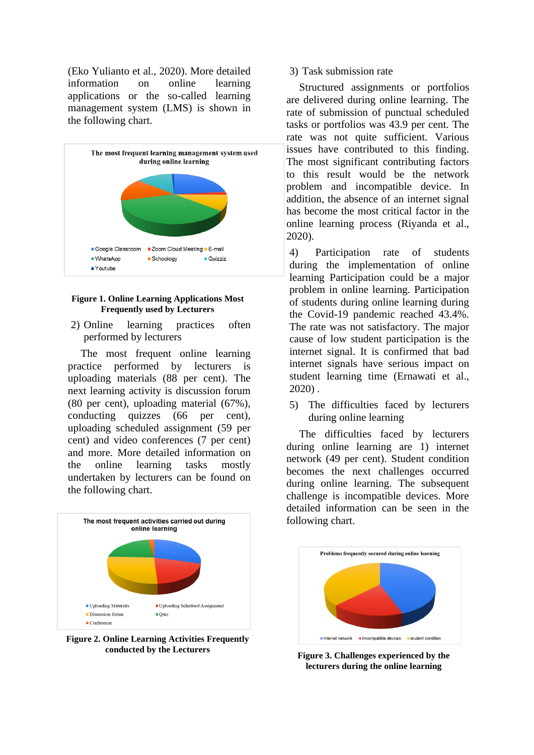(Eko Yulianto et al., 2020). More detailed information on online learning applications or the so-called learning management system (LMS) is shown in the following chart.



#### **Figure 1. Online Learning Applications Most Frequently used by Lecturers**

2) Online learning practices often performed by lecturers

The most frequent online learning practice performed by lecturers is uploading materials (88 per cent). The next learning activity is discussion forum (80 per cent), uploading material (67%), conducting quizzes (66 per cent), uploading scheduled assignment (59 per cent) and video conferences (7 per cent) and more. More detailed information on the online learning tasks mostly undertaken by lecturers can be found on the following chart.



**Figure 2. Online Learning Activities Frequently conducted by the Lecturers**

### 3) Task submission rate

Structured assignments or portfolios are delivered during online learning. The rate of submission of punctual scheduled tasks or portfolios was 43.9 per cent. The rate was not quite sufficient. Various issues have contributed to this finding. The most significant contributing factors to this result would be the network problem and incompatible device. In addition, the absence of an internet signal has become the most critical factor in the online learning process (Riyanda et al., 2020).

4) Participation rate of students during the implementation of online learning Participation could be a major problem in online learning. Participation of students during online learning during the Covid-19 pandemic reached 43.4%. The rate was not satisfactory. The major cause of low student participation is the internet signal. It is confirmed that bad internet signals have serious impact on student learning time (Ernawati et al.,  $2020$ ).

5) The difficulties faced by lecturers during online learning

The difficulties faced by lecturers during online learning are 1) internet network (49 per cent). Student condition becomes the next challenges occurred during online learning. The subsequent challenge is incompatible devices. More detailed information can be seen in the following chart.



**Figure 3. Challenges experienced by the lecturers during the online learning**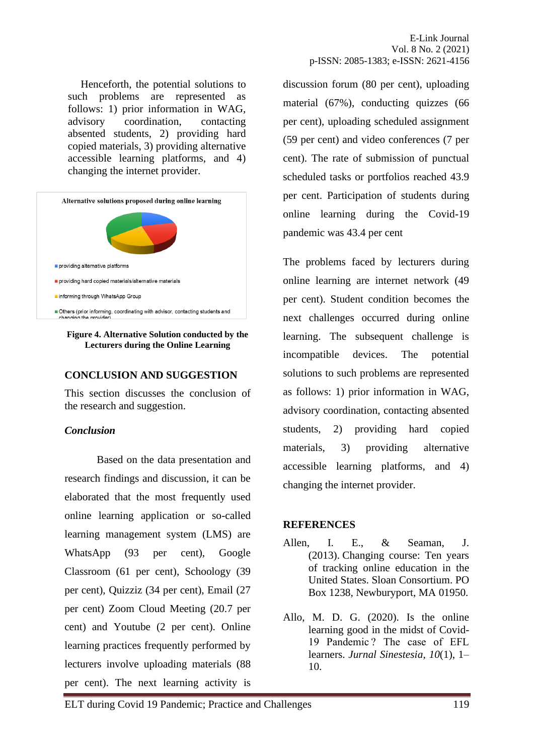Henceforth, the potential solutions to such problems are represented as follows: 1) prior information in WAG, advisory coordination, contacting absented students, 2) providing hard copied materials, 3) providing alternative accessible learning platforms, and 4) changing the internet provider.



**Figure 4. Alternative Solution conducted by the Lecturers during the Online Learning**

# **CONCLUSION AND SUGGESTION**

This section discusses the conclusion of the research and suggestion.

### *Conclusion*

Based on the data presentation and research findings and discussion, it can be elaborated that the most frequently used online learning application or so-called learning management system (LMS) are WhatsApp (93 per cent), Google Classroom (61 per cent), Schoology (39 per cent), Quizziz (34 per cent), Email (27 per cent) Zoom Cloud Meeting (20.7 per cent) and Youtube (2 per cent). Online learning practices frequently performed by lecturers involve uploading materials (88 per cent). The next learning activity is

discussion forum (80 per cent), uploading material (67%), conducting quizzes (66 per cent), uploading scheduled assignment (59 per cent) and video conferences (7 per cent). The rate of submission of punctual scheduled tasks or portfolios reached 43.9 per cent. Participation of students during online learning during the Covid-19 pandemic was 43.4 per cent

The problems faced by lecturers during online learning are internet network (49 per cent). Student condition becomes the next challenges occurred during online learning. The subsequent challenge is incompatible devices. The potential solutions to such problems are represented as follows: 1) prior information in WAG, advisory coordination, contacting absented students, 2) providing hard copied materials, 3) providing alternative accessible learning platforms, and 4) changing the internet provider.

# **REFERENCES**

- Allen, I. E., & Seaman, J. (2013). Changing course: Ten years of tracking online education in the United States. Sloan Consortium. PO Box 1238, Newburyport, MA 01950.
- Allo, M. D. G. (2020). Is the online learning good in the midst of Covid-19 Pandemic ? The case of EFL learners. *Jurnal Sinestesia*, *10*(1), 1– 10.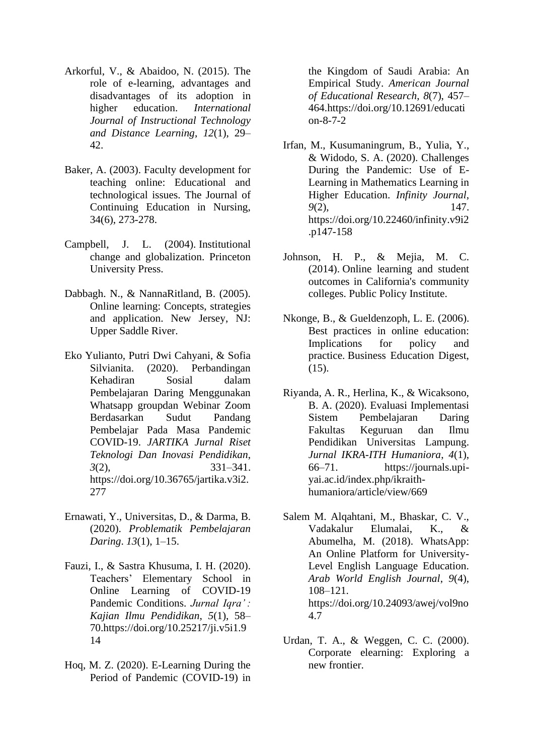- Arkorful, V., & Abaidoo, N. (2015). The role of e-learning, advantages and disadvantages of its adoption in higher education. *International Journal of Instructional Technology and Distance Learning*, *12*(1), 29– 42.
- Baker, A. (2003). Faculty development for teaching online: Educational and technological issues. The Journal of Continuing Education in Nursing, 34(6), 273-278.
- Campbell, J. L. (2004). Institutional change and globalization. Princeton University Press.
- Dabbagh. N., & NannaRitland, B. (2005). Online learning: Concepts, strategies and application. New Jersey, NJ: Upper Saddle River.
- Eko Yulianto, Putri Dwi Cahyani, & Sofia Silvianita. (2020). Perbandingan Kehadiran Sosial dalam Pembelajaran Daring Menggunakan Whatsapp groupdan Webinar Zoom Berdasarkan Sudut Pandang Pembelajar Pada Masa Pandemic COVID-19. *JARTIKA Jurnal Riset Teknologi Dan Inovasi Pendidikan*, *3*(2), 331–341. https://doi.org/10.36765/jartika.v3i2. 277
- Ernawati, Y., Universitas, D., & Darma, B. (2020). *Problematik Pembelajaran Daring*. *13*(1), 1–15.
- Fauzi, I., & Sastra Khusuma, I. H. (2020). Teachers' Elementary School in Online Learning of COVID-19 Pandemic Conditions. *Jurnal Iqra' : Kajian Ilmu Pendidikan*, *5*(1), 58– 70.https://doi.org/10.25217/ji.v5i1.9 14
- Hoq, M. Z. (2020). E-Learning During the Period of Pandemic (COVID-19) in

the Kingdom of Saudi Arabia: An Empirical Study. *American Journal of Educational Research*, *8*(7), 457– 464.https://doi.org/10.12691/educati on-8-7-2

- Irfan, M., Kusumaningrum, B., Yulia, Y., & Widodo, S. A. (2020). Challenges During the Pandemic: Use of E-Learning in Mathematics Learning in Higher Education. *Infinity Journal*, *9*(2), 147. https://doi.org/10.22460/infinity.v9i2 .p147-158
- Johnson, H. P., & Mejia, M. C. (2014). Online learning and student outcomes in California's community colleges. Public Policy Institute.
- Nkonge, B., & Gueldenzoph, L. E. (2006). Best practices in online education: Implications for policy and practice. Business Education Digest,  $(15)$ .
- Riyanda, A. R., Herlina, K., & Wicaksono, B. A. (2020). Evaluasi Implementasi Sistem Pembelajaran Daring Fakultas Keguruan dan Ilmu Pendidikan Universitas Lampung. *Jurnal IKRA-ITH Humaniora*, *4*(1), 66–71. https://journals.upiyai.ac.id/index.php/ikraithhumaniora/article/view/669
- Salem M. Alqahtani, M., Bhaskar, C. V., Vadakalur Elumalai, K., & Abumelha, M. (2018). WhatsApp: An Online Platform for University-Level English Language Education. *Arab World English Journal*, *9*(4), 108–121. https://doi.org/10.24093/awej/vol9no 4.7
- Urdan, T. A., & Weggen, C. C. (2000). Corporate elearning: Exploring a new frontier.